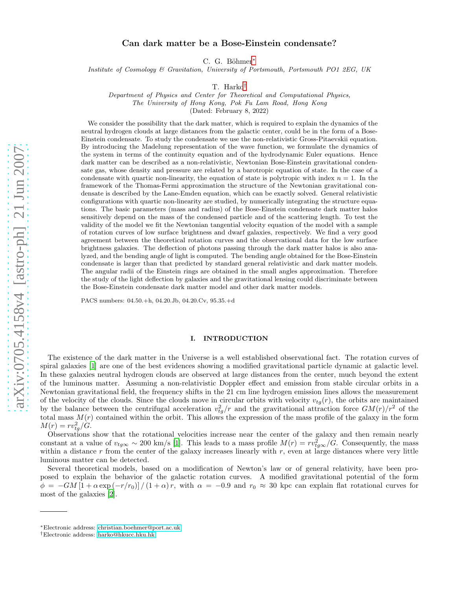# Can dark matter be a Bose-Einstein condensate?

C. G. Böhmer\*

Institute of Cosmology & Gravitation, University of Portsmouth, Portsmouth PO1 2EG, UK

T. Harko[†](#page-0-1)

Department of Physics and Center for Theoretical and Computational Physics, The University of Hong Kong, Pok Fu Lam Road, Hong Kong

(Dated: February 8, 2022)

We consider the possibility that the dark matter, which is required to explain the dynamics of the neutral hydrogen clouds at large distances from the galactic center, could be in the form of a Bose-Einstein condensate. To study the condensate we use the non-relativistic Gross-Pitaevskii equation. By introducing the Madelung representation of the wave function, we formulate the dynamics of the system in terms of the continuity equation and of the hydrodynamic Euler equations. Hence dark matter can be described as a non-relativistic, Newtonian Bose-Einstein gravitational condensate gas, whose density and pressure are related by a barotropic equation of state. In the case of a condensate with quartic non-linearity, the equation of state is polytropic with index  $n = 1$ . In the framework of the Thomas-Fermi approximation the structure of the Newtonian gravitational condensate is described by the Lane-Emden equation, which can be exactly solved. General relativistic configurations with quartic non-linearity are studied, by numerically integrating the structure equations. The basic parameters (mass and radius) of the Bose-Einstein condensate dark matter halos sensitively depend on the mass of the condensed particle and of the scattering length. To test the validity of the model we fit the Newtonian tangential velocity equation of the model with a sample of rotation curves of low surface brightness and dwarf galaxies, respectively. We find a very good agreement between the theoretical rotation curves and the observational data for the low surface brightness galaxies. The deflection of photons passing through the dark matter halos is also analyzed, and the bending angle of light is computed. The bending angle obtained for the Bose-Einstein condensate is larger than that predicted by standard general relativistic and dark matter models. The angular radii of the Einstein rings are obtained in the small angles approximation. Therefore the study of the light deflection by galaxies and the gravitational lensing could discriminate between the Bose-Einstein condensate dark matter model and other dark matter models.

PACS numbers: 04.50.+h, 04.20.Jb, 04.20.Cv, 95.35.+d

#### I. INTRODUCTION

The existence of the dark matter in the Universe is a well established observational fact. The rotation curves of spiral galaxies [\[1](#page-18-0)] are one of the best evidences showing a modified gravitational particle dynamic at galactic level. In these galaxies neutral hydrogen clouds are observed at large distances from the center, much beyond the extent of the luminous matter. Assuming a non-relativistic Doppler effect and emission from stable circular orbits in a Newtonian gravitational field, the frequency shifts in the 21 cm line hydrogen emission lines allows the measurement of the velocity of the clouds. Since the clouds move in circular orbits with velocity  $v_{tg}(r)$ , the orbits are maintained by the balance between the centrifugal acceleration  $v_{tg}^2/r$  and the gravitational attraction force  $GM(r)/r^2$  of the total mass  $M(r)$  contained within the orbit. This allows the expression of the mass profile of the galaxy in the form  $M(r) = rv_{tg}^2/G$ .

Observations show that the rotational velocities increase near the center of the galaxy and then remain nearly constant at a value of  $v_{tg\infty} \sim 200 \text{ km/s}$  [\[1](#page-18-0)]. This leads to a mass profile  $M(r) = rv_{tg\infty}^2/G$ . Consequently, the mass within a distance  $r$  from the center of the galaxy increases linearly with  $r$ , even at large distances where very little luminous matter can be detected.

Several theoretical models, based on a modification of Newton's law or of general relativity, have been proposed to explain the behavior of the galactic rotation curves. A modified gravitational potential of the form  $\phi = -GM[1 + \alpha \exp(-r/r_0)]/(1+\alpha)r$ , with  $\alpha = -0.9$  and  $r_0 \approx 30$  kpc can explain flat rotational curves for most of the galaxies [\[2](#page-18-1)].

<span id="page-0-0"></span><sup>∗</sup>Electronic address: [christian.boehmer@port.ac.uk](mailto:christian.boehmer@port.ac.uk)

<span id="page-0-1"></span><sup>†</sup>Electronic address: [harko@hkucc.hku.hk](mailto:harko@hkucc.hku.hk)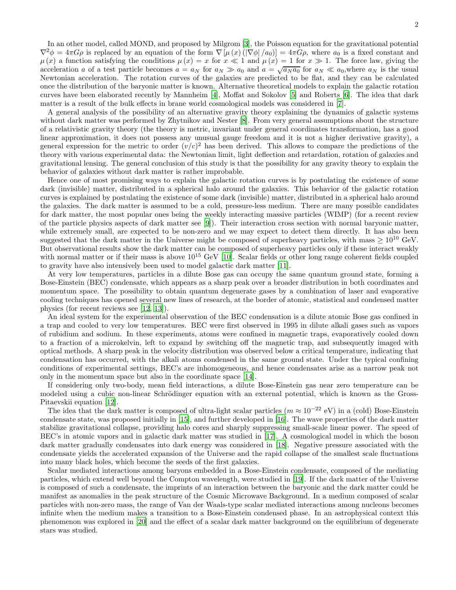In an other model, called MOND, and proposed by Milgrom [\[3](#page-18-2)], the Poisson equation for the gravitational potential  $\nabla^2 \phi = 4\pi G \rho$  is replaced by an equation of the form  $\nabla [\mu(x) (\nabla \phi / a_0)] = 4\pi G \rho$ , where  $a_0$  is a fixed constant and  $\mu(x)$  a function satisfying the conditions  $\mu(x) = x$  for  $x \ll 1$  and  $\mu(x) = 1$  for  $x \gg 1$ . The force law, giving the acceleration a of a test particle becomes  $a = a_N$  for  $a_N \gg a_0$  and  $a = \sqrt{a_N a_0}$  for  $a_N \ll a_0$ , where  $a_N$  is the usual Newtonian acceleration. The rotation curves of the galaxies are predicted to be flat, and they can be calculated once the distribution of the baryonic matter is known. Alternative theoretical models to explain the galactic rotation curves have been elaborated recently by Mannheim [\[4\]](#page-18-3), Moffat and Sokolov [\[5](#page-18-4)] and Roberts [\[6\]](#page-18-5). The idea that dark matter is a result of the bulk effects in brane world cosmological models was considered in [\[7](#page-18-6)].

A general analysis of the possibility of an alternative gravity theory explaining the dynamics of galactic systems without dark matter was performed by Zhytnikov and Nester [\[8\]](#page-18-7). From very general assumptions about the structure of a relativistic gravity theory (the theory is metric, invariant under general coordinates transformation, has a good linear approximation, it does not possess any unusual gauge freedom and it is not a higher derivative gravity), a general expression for the metric to order  $(v/c)^2$  has been derived. This allows to compare the predictions of the theory with various experimental data: the Newtonian limit, light deflection and retardation, rotation of galaxies and gravitational lensing. The general conclusion of this study is that the possibility for any gravity theory to explain the behavior of galaxies without dark matter is rather improbable.

Hence one of most promising ways to explain the galactic rotation curves is by postulating the existence of some dark (invisible) matter, distributed in a spherical halo around the galaxies. This behavior of the galactic rotation curves is explained by postulating the existence of some dark (invisible) matter, distributed in a spherical halo around the galaxies. The dark matter is assumed to be a cold, pressure-less medium. There are many possible candidates for dark matter, the most popular ones being the weekly interacting massive particles (WIMP) (for a recent review of the particle physics aspects of dark matter see [\[9](#page-18-8)]). Their interaction cross section with normal baryonic matter, while extremely small, are expected to be non-zero and we may expect to detect them directly. It has also been suggested that the dark matter in the Universe might be composed of superheavy particles, with mass  $\geq 10^{10}$  GeV. But observational results show the dark matter can be composed of superheavy particles only if these interact weakly with normal matter or if their mass is above  $10^{15}$  GeV [\[10\]](#page-18-9). Scalar fields or other long range coherent fields coupled to gravity have also intensively been used to model galactic dark matter [\[11](#page-18-10)].

At very low temperatures, particles in a dilute Bose gas can occupy the same quantum ground state, forming a Bose-Einstein (BEC) condensate, which appears as a sharp peak over a broader distribution in both coordinates and momentum space. The possibility to obtain quantum degenerate gases by a combination of laser and evaporative cooling techniques has opened several new lines of research, at the border of atomic, statistical and condensed matter physics (for recent reviews see [\[12](#page-18-11), [13](#page-18-12)]).

An ideal system for the experimental observation of the BEC condensation is a dilute atomic Bose gas confined in a trap and cooled to very low temperatures. BEC were first observed in 1995 in dilute alkali gases such as vapors of rubidium and sodium. In these experiments, atoms were confined in magnetic traps, evaporatively cooled down to a fraction of a microkelvin, left to expand by switching off the magnetic trap, and subsequently imaged with optical methods. A sharp peak in the velocity distribution was observed below a critical temperature, indicating that condensation has occurred, with the alkali atoms condensed in the same ground state. Under the typical confining conditions of experimental settings, BEC's are inhomogeneous, and hence condensates arise as a narrow peak not only in the momentum space but also in the coordinate space [\[14\]](#page-18-13).

If considering only two-body, mean field interactions, a dilute Bose-Einstein gas near zero temperature can be modeled using a cubic non-linear Schrödinger equation with an external potential, which is known as the Gross-Pitaevskii equation [\[12\]](#page-18-11).

The idea that the dark matter is composed of ultra-light scalar particles ( $m \approx 10^{-22}$  eV) in a (cold) Bose-Einstein condensate state, was proposed initially in [\[15](#page-18-14)], and further developed in [\[16\]](#page-18-15). The wave properties of the dark matter stabilize gravitational collapse, providing halo cores and sharply suppressing small-scale linear power. The speed of BEC's in atomic vapors and in galactic dark matter was studied in [\[17\]](#page-18-16). A cosmological model in which the boson dark matter gradually condensates into dark energy was considered in [\[18](#page-18-17)]. Negative pressure associated with the condensate yields the accelerated expansion of the Universe and the rapid collapse of the smallest scale fluctuations into many black holes, which become the seeds of the first galaxies.

Scalar mediated interactions among baryons embedded in a Bose-Einstein condensate, composed of the mediating particles, which extend well beyond the Compton wavelength, were studied in [\[19\]](#page-18-18). If the dark matter of the Universe is composed of such a condensate, the imprints of an interaction between the baryonic and the dark matter could be manifest as anomalies in the peak structure of the Cosmic Microwave Background. In a medium composed of scalar particles with non-zero mass, the range of Van der Waals-type scalar mediated interactions among nucleons becomes infinite when the medium makes a transition to a Bose-Einstein condensed phase. In an astrophysical context this phenomenon was explored in [\[20](#page-18-19)] and the effect of a scalar dark matter background on the equilibrium of degenerate stars was studied.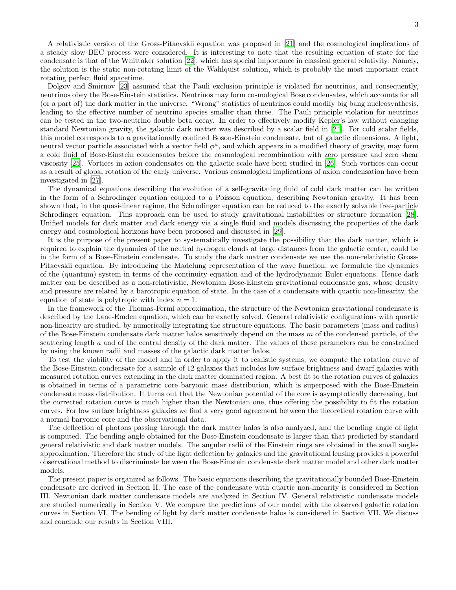A relativistic version of the Gross-Pitaevskii equation was proposed in [\[21](#page-18-20)] and the cosmological implications of a steady slow BEC process were considered. It is interesting to note that the resulting equation of state for the condensate is that of the Whittaker solution [\[22\]](#page-18-21), which has special importance in classical general relativity. Namely, the solution is the static non-rotating limit of the Wahlquist solution, which is probably the most important exact rotating perfect fluid spacetime.

Dolgov and Smirnov [\[23](#page-18-22)] assumed that the Pauli exclusion principle is violated for neutrinos, and consequently, neutrinos obey the Bose-Einstein statistics. Neutrinos may form cosmological Bose condensates, which accounts for all (or a part of) the dark matter in the universe. "Wrong" statistics of neutrinos could modify big bang nucleosynthesis, leading to the effective number of neutrino species smaller than three. The Pauli principle violation for neutrinos can be tested in the two-neutrino double beta decay. In order to effectively modify Kepler's law without changing standard Newtonian gravity, the galactic dark matter was described by a scalar field in [\[24](#page-18-23)]. For cold scalar fields, this model corresponds to a gravitationally confined Boson-Einstein condensate, but of galactic dimensions. A light, neutral vector particle associated with a vector field  $\phi^{\mu}$ , and which appears in a modified theory of gravity, may form a cold fluid of Bose-Einstein condensates before the cosmological recombination with zero pressure and zero shear viscosity [\[25](#page-18-24)]. Vortices in axion condensates on the galactic scale have been studied in [\[26\]](#page-18-25). Such vortices can occur as a result of global rotation of the early universe. Various cosmological implications of axion condensation have been investigated in [\[27\]](#page-18-26).

The dynamical equations describing the evolution of a self-gravitating fluid of cold dark matter can be written in the form of a Schrodinger equation coupled to a Poisson equation, describing Newtonian gravity. It has been shown that, in the quasi-linear regime, the Schrodinger equation can be reduced to the exactly solvable free-particle Schrodinger equation. This approach can be used to study gravitational instabilities or structure formation [\[28\]](#page-18-27). Unified models for dark matter and dark energy via a single fluid and models discussing the properties of the dark energy and cosmological horizons have been proposed and discussed in [\[29](#page-18-28)].

It is the purpose of the present paper to systematically investigate the possibility that the dark matter, which is required to explain the dynamics of the neutral hydrogen clouds at large distances from the galactic center, could be in the form of a Bose-Einstein condensate. To study the dark matter condensate we use the non-relativistic Gross-Pitaevskii equation. By introducing the Madelung representation of the wave function, we formulate the dynamics of the (quantum) system in terms of the continuity equation and of the hydrodynamic Euler equations. Hence dark matter can be described as a non-relativistic, Newtonian Bose-Einstein gravitational condensate gas, whose density and pressure are related by a barotropic equation of state. In the case of a condensate with quartic non-linearity, the equation of state is polytropic with index  $n = 1$ .

In the framework of the Thomas-Fermi approximation, the structure of the Newtonian gravitational condensate is described by the Lane-Emden equation, which can be exactly solved. General relativistic configurations with quartic non-linearity are studied, by numerically integrating the structure equations. The basic parameters (mass and radius) of the Bose-Einstein condensate dark matter halos sensitively depend on the mass m of the condensed particle, of the scattering length a and of the central density of the dark matter. The values of these parameters can be constrained by using the known radii and masses of the galactic dark matter halos.

To test the viability of the model and in order to apply it to realistic systems, we compute the rotation curve of the Bose-Einstein condensate for a sample of 12 galaxies that includes low surface brightness and dwarf galaxies with measured rotation curves extending in the dark matter dominated region. A best fit to the rotation curves of galaxies is obtained in terms of a parametric core baryonic mass distribution, which is superposed with the Bose-Einstein condensate mass distribution. It turns out that the Newtonian potential of the core is asymptotically decreasing, but the corrected rotation curve is much higher than the Newtonian one, thus offering the possibility to fit the rotation curves. For low surface brightness galaxies we find a very good agreement between the theoretical rotation curve with a normal baryonic core and the observational data.

The deflection of photons passing through the dark matter halos is also analyzed, and the bending angle of light is computed. The bending angle obtained for the Bose-Einstein condensate is larger than that predicted by standard general relativistic and dark matter models. The angular radii of the Einstein rings are obtained in the small angles approximation. Therefore the study of the light deflection by galaxies and the gravitational lensing provides a powerful observational method to discriminate between the Bose-Einstein condensate dark matter model and other dark matter models.

The present paper is organized as follows. The basic equations describing the gravitationally bounded Bose-Einstein condensate are derived in Section II. The case of the condensate with quartic non-linearity is considered in Section III. Newtonian dark matter condensate models are analyzed in Section IV. General relativistic condensate models are studied numerically in Section V. We compare the predictions of our model with the observed galactic rotation curves in Section VI. The bending of light by dark matter condensate halos is considered in Section VII. We discuss and conclude our results in Section VIII.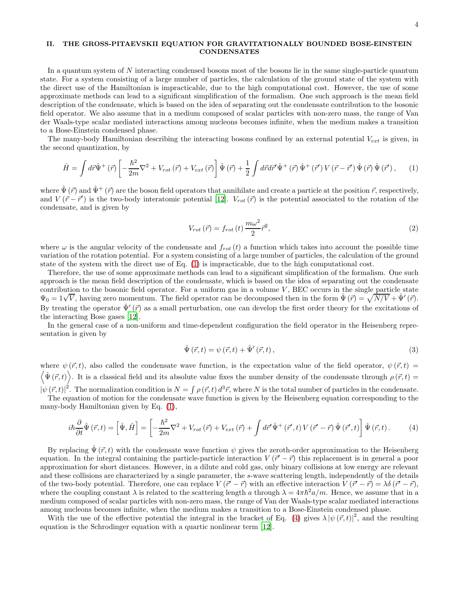# II. THE GROSS-PITAEVSKII EQUATION FOR GRAVITATIONALLY BOUNDED BOSE-EINSTEIN CONDENSATES

In a quantum system of N interacting condensed bosons most of the bosons lie in the same single-particle quantum state. For a system consisting of a large number of particles, the calculation of the ground state of the system with the direct use of the Hamiltonian is impracticable, due to the high computational cost. However, the use of some approximate methods can lead to a significant simplification of the formalism. One such approach is the mean field description of the condensate, which is based on the idea of separating out the condensate contribution to the bosonic field operator. We also assume that in a medium composed of scalar particles with non-zero mass, the range of Van der Waals-type scalar mediated interactions among nucleons becomes infinite, when the medium makes a transition to a Bose-Einstein condensed phase.

The many-body Hamiltonian describing the interacting bosons confined by an external potential  $V_{ext}$  is given, in the second quantization, by

$$
\hat{H} = \int d\vec{r}\hat{\Psi}^{+}(\vec{r}) \left[ -\frac{\hbar^{2}}{2m} \nabla^{2} + V_{rot}(\vec{r}) + V_{ext}(\vec{r}) \right] \hat{\Psi}(\vec{r}) + \frac{1}{2} \int d\vec{r}d\vec{r}' \hat{\Psi}^{+}(\vec{r}) \hat{\Psi}^{+}(\vec{r}') V(\vec{r} - \vec{r}') \hat{\Psi}(\vec{r}) \hat{\Psi}(\vec{r}'), \quad (1)
$$

where  $\hat{\Psi}(\vec{r})$  and  $\hat{\Psi}^+(\vec{r})$  are the boson field operators that annihilate and create a particle at the position  $\vec{r}$ , respectively, and  $V(\vec{r}-\vec{r}')$  is the two-body interatomic potential [\[12](#page-18-11)].  $V_{rot}(\vec{r})$  is the potential associated to the rotation of the condensate, and is given by

<span id="page-3-0"></span>
$$
V_{rot}(\vec{r}) = f_{rot}(t) \frac{m\omega^2}{2} \vec{r}^2,
$$
\n(2)

where  $\omega$  is the angular velocity of the condensate and  $f_{rot}(t)$  a function which takes into account the possible time variation of the rotation potential. For a system consisting of a large number of particles, the calculation of the ground state of the system with the direct use of Eq. [\(1\)](#page-3-0) is impracticable, due to the high computational cost.

Therefore, the use of some approximate methods can lead to a significant simplification of the formalism. One such approach is the mean field description of the condensate, which is based on the idea of separating out the condensate contribution to the bosonic field operator. For a uniform gas in a volume  $V$ , BEC occurs in the single particle state  $\Psi_0 = 1\sqrt{V}$ , having zero momentum. The field operator can be decomposed then in the form  $\hat{\Psi}(\vec{r}) = \sqrt{N/V} + \hat{\Psi}'(\vec{r})$ . By treating the operator  $\hat{\Psi}'(\vec{r})$  as a small perturbation, one can develop the first order theory for the excitations of the interacting Bose gases [\[12](#page-18-11)].

In the general case of a non-uniform and time-dependent configuration the field operator in the Heisenberg representation is given by

<span id="page-3-1"></span>
$$
\hat{\Psi}(\vec{r},t) = \psi(\vec{r},t) + \hat{\Psi}'(\vec{r},t),\tag{3}
$$

where  $\psi(\vec{r}, t)$ , also called the condensate wave function, is the expectation value of the field operator,  $\psi(\vec{r}, t)$  $\langle \hat{\Psi}(\vec{r},t) \rangle$ . It is a classical field and its absolute value fixes the number density of the condensate through  $\rho(\vec{r},t)$  $|\psi(\vec{r},t)|^2$ . The normalization condition is  $N = \int \rho(\vec{r},t) d^3\vec{r}$ , where N is the total number of particles in the condensate.

The equation of motion for the condensate wave function is given by the Heisenberg equation corresponding to the many-body Hamiltonian given by Eq. [\(1\)](#page-3-0),

$$
i\hbar \frac{\partial}{\partial t} \hat{\Psi}(\vec{r},t) = \left[\hat{\Psi},\hat{H}\right] = \left[-\frac{\hbar^2}{2m}\nabla^2 + V_{rot}(\vec{r}) + V_{ext}(\vec{r}) + \int d\vec{r}' \hat{\Psi}^+(\vec{r}',t) V(\vec{r}'-\vec{r}) \hat{\Psi}(\vec{r}',t)\right] \hat{\Psi}(\vec{r},t).
$$
(4)

By replacing  $\hat{\Psi}(\vec{r},t)$  with the condensate wave function  $\psi$  gives the zeroth-order approximation to the Heisenberg equation. In the integral containing the particle-particle interaction  $V(\vec{r}' - \vec{r})$  this replacement is in general a poor approximation for short distances. However, in a dilute and cold gas, only binary collisions at low energy are relevant and these collisions are characterized by a single parameter, the s-wave scattering length, independently of the details of the two-body potential. Therefore, one can replace  $V(\vec{r}' - \vec{r})$  with an effective interaction  $V(\vec{r}' - \vec{r}) = \lambda \delta(\vec{r}' - \vec{r})$ , where the coupling constant  $\lambda$  is related to the scattering length a through  $\lambda = 4\pi\hbar^2 a/m$ . Hence, we assume that in a medium composed of scalar particles with non-zero mass, the range of Van der Waals-type scalar mediated interactions among nucleons becomes infinite, when the medium makes a transition to a Bose-Einstein condensed phase.

With the use of the effective potential the integral in the bracket of Eq. [\(4\)](#page-3-1) gives  $\lambda |\psi(\vec{r},t)|^2$ , and the resulting equation is the Schrodinger equation with a quartic nonlinear term [\[12\]](#page-18-11).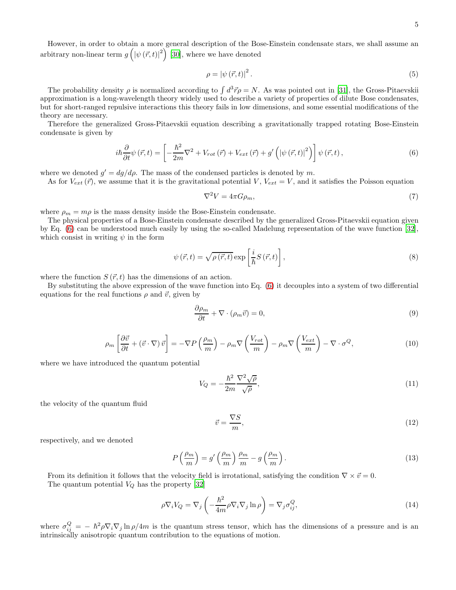<span id="page-4-0"></span>5

However, in order to obtain a more general description of the Bose-Einstein condensate stars, we shall assume an arbitrary non-linear term  $g\left( \left\vert \psi\left( \vec{r},t\right) \right\vert ^{2}\right)$  [\[30](#page-18-29)], where we have denoted

$$
\rho = |\psi(\vec{r}, t)|^2. \tag{5}
$$

The probability density  $\rho$  is normalized according to  $\int d^3 \vec{r} \rho = N$ . As was pointed out in [\[31](#page-18-30)], the Gross-Pitaevskii approximation is a long-wavelength theory widely used to describe a variety of properties of dilute Bose condensates, but for short-ranged repulsive interactions this theory fails in low dimensions, and some essential modifications of the theory are necessary.

Therefore the generalized Gross-Pitaevskii equation describing a gravitationally trapped rotating Bose-Einstein condensate is given by

$$
i\hbar\frac{\partial}{\partial t}\psi\left(\vec{r},t\right) = \left[-\frac{\hbar^2}{2m}\nabla^2 + V_{rot}\left(\vec{r}\right) + V_{ext}\left(\vec{r}\right) + g'\left(\left|\psi\left(\vec{r},t\right)\right|^2\right)\right]\psi\left(\vec{r},t\right),\tag{6}
$$

where we denoted  $g' = dg/d\rho$ . The mass of the condensed particles is denoted by m.

As for  $V_{ext}(\vec{r})$ , we assume that it is the gravitational potential V,  $V_{ext} = V$ , and it satisfies the Poisson equation

$$
\nabla^2 V = 4\pi G \rho_m,\tag{7}
$$

where  $\rho_m = m\rho$  is the mass density inside the Bose-Einstein condensate.

The physical properties of a Bose-Einstein condensate described by the generalized Gross-Pitaevskii equation given by Eq. [\(6\)](#page-4-0) can be understood much easily by using the so-called Madelung representation of the wave function [\[32\]](#page-18-31), which consist in writing  $\psi$  in the form

$$
\psi\left(\vec{r},t\right) = \sqrt{\rho\left(\vec{r},t\right)} \exp\left[\frac{i}{\hbar}S\left(\vec{r},t\right)\right],\tag{8}
$$

where the function  $S(\vec{r}, t)$  has the dimensions of an action.

By substituting the above expression of the wave function into Eq. [\(6\)](#page-4-0) it decouples into a system of two differential equations for the real functions  $\rho$  and  $\vec{v}$ , given by

$$
\frac{\partial \rho_m}{\partial t} + \nabla \cdot (\rho_m \vec{v}) = 0,\tag{9}
$$

$$
\rho_m \left[ \frac{\partial \vec{v}}{\partial t} + (\vec{v} \cdot \nabla) \vec{v} \right] = -\nabla P \left( \frac{\rho_m}{m} \right) - \rho_m \nabla \left( \frac{V_{rot}}{m} \right) - \rho_m \nabla \left( \frac{V_{ext}}{m} \right) - \nabla \cdot \sigma^Q,
$$
\n(10)

where we have introduced the quantum potential

$$
V_Q = -\frac{\hbar^2}{2m} \frac{\nabla^2 \sqrt{\rho}}{\sqrt{\rho}},\tag{11}
$$

the velocity of the quantum fluid

<span id="page-4-2"></span><span id="page-4-1"></span>
$$
\vec{v} = \frac{\nabla S}{m},\tag{12}
$$

respectively, and we denoted

$$
P\left(\frac{\rho_m}{m}\right) = g'\left(\frac{\rho_m}{m}\right)\frac{\rho_m}{m} - g\left(\frac{\rho_m}{m}\right). \tag{13}
$$

From its definition it follows that the velocity field is irrotational, satisfying the condition  $\nabla \times \vec{v} = 0$ . The quantum potential  $V_Q$  has the property [\[32\]](#page-18-31)

$$
\rho \nabla_i V_Q = \nabla_j \left( -\frac{\hbar^2}{4m} \rho \nabla_i \nabla_j \ln \rho \right) = \nabla_j \sigma_{ij}^Q,
$$
\n(14)

where  $\sigma_{ij}^Q = -\hbar^2 \rho \nabla_i \nabla_j \ln \rho / 4m$  is the quantum stress tensor, which has the dimensions of a pressure and is an intrinsically anisotropic quantum contribution to the equations of motion.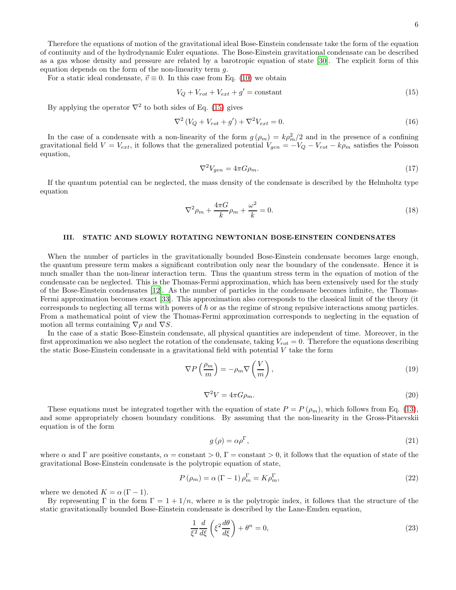Therefore the equations of motion of the gravitational ideal Bose-Einstein condensate take the form of the equation of continuity and of the hydrodynamic Euler equations. The Bose-Einstein gravitational condensate can be described as a gas whose density and pressure are related by a barotropic equation of state [\[30](#page-18-29)]. The explicit form of this equation depends on the form of the non-linearity term g.

For a static ideal condensate,  $\vec{v} \equiv 0$ . In this case from Eq. [\(10\)](#page-4-1) we obtain

$$
V_Q + V_{rot} + V_{ext} + g' = \text{constant}
$$
\n<sup>(15)</sup>

By applying the operator  $\nabla^2$  to both sides of Eq. [\(15\)](#page-5-0) gives

$$
\nabla^2 \left( V_Q + V_{rot} + g' \right) + \nabla^2 V_{ext} = 0. \tag{16}
$$

In the case of a condensate with a non-linearity of the form  $g(\rho_m) = k\rho_m^2/2$  and in the presence of a confining gravitational field  $V = V_{ext}$ , it follows that the generalized potential  $V_{gen} = -V_Q - V_{rot} - k\rho_m$  satisfies the Poisson equation,

<span id="page-5-0"></span>
$$
\nabla^2 V_{gen} = 4\pi G \rho_m. \tag{17}
$$

If the quantum potential can be neglected, the mass density of the condensate is described by the Helmholtz type equation

$$
\nabla^2 \rho_m + \frac{4\pi G}{k} \rho_m + \frac{\omega^2}{k} = 0.
$$
\n(18)

### III. STATIC AND SLOWLY ROTATING NEWTONIAN BOSE-EINSTEIN CONDENSATES

When the number of particles in the gravitationally bounded Bose-Einstein condensate becomes large enough, the quantum pressure term makes a significant contribution only near the boundary of the condensate. Hence it is much smaller than the non-linear interaction term. Thus the quantum stress term in the equation of motion of the condensate can be neglected. This is the Thomas-Fermi approximation, which has been extensively used for the study of the Bose-Einstein condensates [\[12\]](#page-18-11). As the number of particles in the condensate becomes infinite, the Thomas-Fermi approximation becomes exact [\[33](#page-19-0)]. This approximation also corresponds to the classical limit of the theory (it corresponds to neglecting all terms with powers of  $\hbar$  or as the regime of strong repulsive interactions among particles. From a mathematical point of view the Thomas-Fermi approximation corresponds to neglecting in the equation of motion all terms containing  $\nabla \rho$  and  $\nabla S$ .

In the case of a static Bose-Einstein condensate, all physical quantities are independent of time. Moreover, in the first approximation we also neglect the rotation of the condensate, taking  $V_{rot} = 0$ . Therefore the equations describing the static Bose-Einstein condensate in a gravitational field with potential  $V$  take the form

$$
\nabla P\left(\frac{\rho_m}{m}\right) = -\rho_m \nabla \left(\frac{V}{m}\right),\tag{19}
$$

$$
\nabla^2 V = 4\pi G \rho_m. \tag{20}
$$

These equations must be integrated together with the equation of state  $P = P(\rho_m)$ , which follows from Eq. [\(13\)](#page-4-2), and some appropriately chosen boundary conditions. By assuming that the non-linearity in the Gross-Pitaevskii equation is of the form

$$
g(\rho) = \alpha \rho^{\Gamma},\tag{21}
$$

where  $\alpha$  and  $\Gamma$  are positive constants,  $\alpha = constant > 0$ ,  $\Gamma = constant > 0$ , it follows that the equation of state of the gravitational Bose-Einstein condensate is the polytropic equation of state,

$$
P(\rho_m) = \alpha (\Gamma - 1) \rho_m^{\Gamma} = K \rho_m^{\Gamma}, \qquad (22)
$$

where we denoted  $K = \alpha (\Gamma - 1)$ .

By representing  $\Gamma$  in the form  $\Gamma = 1 + 1/n$ , where n is the polytropic index, it follows that the structure of the static gravitationally bounded Bose-Einstein condensate is described by the Lane-Emden equation,

<span id="page-5-1"></span>
$$
\frac{1}{\xi^2} \frac{d}{d\xi} \left( \xi^2 \frac{d\theta}{d\xi} \right) + \theta^n = 0,
$$
\n(23)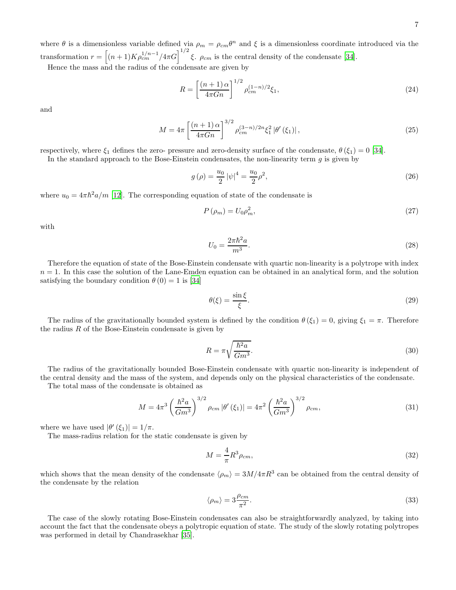where  $\theta$  is a dimensionless variable defined via  $\rho_m = \rho_{cm} \theta^n$  and  $\xi$  is a dimensionless coordinate introduced via the transformation  $r = \left[ (n+1)K\rho_{cm}^{1/n-1}/4\pi G \right]^{1/2} \xi$ .  $\rho_{cm}$  is the central density of the condensate [\[34\]](#page-19-1).

Hence the mass and the radius of the condensate are given by

$$
R = \left[\frac{(n+1)\alpha}{4\pi G n}\right]^{1/2} \rho_{cm}^{(1-n)/2} \xi_1,\tag{24}
$$

and

$$
M = 4\pi \left[ \frac{(n+1)\alpha}{4\pi G n} \right]^{3/2} \rho_{cm}^{(3-n)/2n} \xi_1^2 \left| \theta'(\xi_1) \right|, \tag{25}
$$

respectively, where  $\xi_1$  defines the zero- pressure and zero-density surface of the condensate,  $\theta(\xi_1) = 0$  [\[34\]](#page-19-1). In the standard approach to the Bose-Einstein condensates, the non-linearity term  $g$  is given by

$$
g(\rho) = \frac{u_0}{2} |\psi|^4 = \frac{u_0}{2} \rho^2,
$$
\n(26)

where  $u_0 = 4\pi\hbar^2 a/m$  [\[12](#page-18-11)]. The corresponding equation of state of the condensate is

$$
P\left(\rho_m\right) = U_0 \rho_m^2,\tag{27}
$$

with

$$
U_0 = \frac{2\pi\hbar^2 a}{m^3}.\tag{28}
$$

Therefore the equation of state of the Bose-Einstein condensate with quartic non-linearity is a polytrope with index  $n = 1$ . In this case the solution of the Lane-Emden equation can be obtained in an analytical form, and the solution satisfying the boundary condition  $\theta(0) = 1$  is [\[34\]](#page-19-1)

<span id="page-6-0"></span>
$$
\theta(\xi) = \frac{\sin \xi}{\xi}.\tag{29}
$$

The radius of the gravitationally bounded system is defined by the condition  $\theta(\xi_1) = 0$ , giving  $\xi_1 = \pi$ . Therefore the radius  $R$  of the Bose-Einstein condensate is given by

<span id="page-6-1"></span>
$$
R = \pi \sqrt{\frac{\hbar^2 a}{Gm^3}}.\tag{30}
$$

The radius of the gravitationally bounded Bose-Einstein condensate with quartic non-linearity is independent of the central density and the mass of the system, and depends only on the physical characteristics of the condensate.

The total mass of the condensate is obtained as

$$
M = 4\pi^3 \left(\frac{\hbar^2 a}{Gm^3}\right)^{3/2} \rho_{cm} |\theta'(\xi_1)| = 4\pi^2 \left(\frac{\hbar^2 a}{Gm^3}\right)^{3/2} \rho_{cm},\tag{31}
$$

where we have used  $|\theta'(\xi_1)| = 1/\pi$ .

The mass-radius relation for the static condensate is given by

<span id="page-6-2"></span>
$$
M = \frac{4}{\pi} R^3 \rho_{cm},\tag{32}
$$

which shows that the mean density of the condensate  $\langle \rho_m \rangle = 3M/4\pi R^3$  can be obtained from the central density of the condensate by the relation

<span id="page-6-3"></span>
$$
\langle \rho_m \rangle = 3 \frac{\rho_{cm}}{\pi^2}.
$$
\n(33)

The case of the slowly rotating Bose-Einstein condensates can also be straightforwardly analyzed, by taking into account the fact that the condensate obeys a polytropic equation of state. The study of the slowly rotating polytropes was performed in detail by Chandrasekhar [\[35\]](#page-19-2).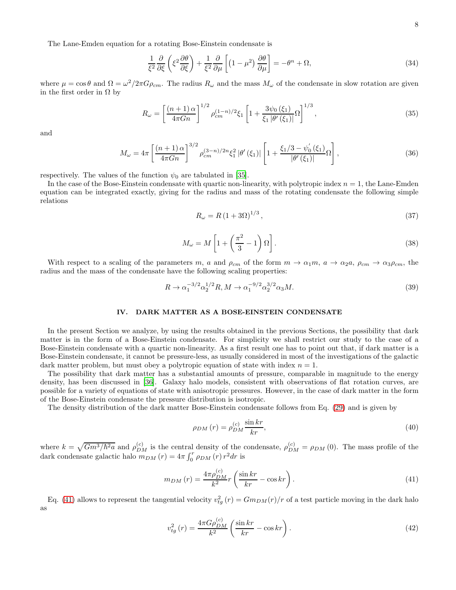The Lane-Emden equation for a rotating Bose-Einstein condensate is

$$
\frac{1}{\xi^2} \frac{\partial}{\partial \xi} \left( \xi^2 \frac{\partial \theta}{\partial \xi} \right) + \frac{1}{\xi^2} \frac{\partial}{\partial \mu} \left[ \left( 1 - \mu^2 \right) \frac{\partial \theta}{\partial \mu} \right] = -\theta^n + \Omega,
$$
\n(34)

where  $\mu = \cos \theta$  and  $\Omega = \omega^2/2\pi G \rho_{cm}$ . The radius  $R_\omega$  and the mass  $M_\omega$  of the condensate in slow rotation are given in the first order in  $\Omega$  by

$$
R_{\omega} = \left[\frac{(n+1)\alpha}{4\pi G n}\right]^{1/2} \rho_{cm}^{(1-n)/2} \xi_1 \left[1 + \frac{3\psi_0(\xi_1)}{\xi_1 |\theta'(\xi_1)|} \Omega\right]^{1/3},\tag{35}
$$

and

$$
M_{\omega} = 4\pi \left[ \frac{(n+1)\alpha}{4\pi G n} \right]^{3/2} \rho_{cm}^{(3-n)/2n} \xi_1^2 \left| \theta'(\xi_1) \right| \left[ 1 + \frac{\xi_1/3 - \psi_0'(\xi_1)}{|\theta'(\xi_1)|} \Omega \right],\tag{36}
$$

respectively. The values of the function  $\psi_0$  are tabulated in [\[35](#page-19-2)].

In the case of the Bose-Einstein condensate with quartic non-linearity, with polytropic index  $n = 1$ , the Lane-Emden equation can be integrated exactly, giving for the radius and mass of the rotating condensate the following simple relations

$$
R_{\omega} = R\left(1 + 3\Omega\right)^{1/3},\tag{37}
$$

$$
M_{\omega} = M \left[ 1 + \left( \frac{\pi^2}{3} - 1 \right) \Omega \right]. \tag{38}
$$

With respect to a scaling of the parameters m, a and  $\rho_{cm}$  of the form  $m \to \alpha_1 m$ ,  $a \to \alpha_2 a$ ,  $\rho_{cm} \to \alpha_3 \rho_{cm}$ , the radius and the mass of the condensate have the following scaling properties:

$$
R \to \alpha_1^{-3/2} \alpha_2^{1/2} R, M \to \alpha_1^{-9/2} \alpha_2^{3/2} \alpha_3 M. \tag{39}
$$

#### IV. DARK MATTER AS A BOSE-EINSTEIN CONDENSATE

In the present Section we analyze, by using the results obtained in the previous Sections, the possibility that dark matter is in the form of a Bose-Einstein condensate. For simplicity we shall restrict our study to the case of a Bose-Einstein condensate with a quartic non-linearity. As a first result one has to point out that, if dark matter is a Bose-Einstein condensate, it cannot be pressure-less, as usually considered in most of the investigations of the galactic dark matter problem, but must obey a polytropic equation of state with index  $n = 1$ .

The possibility that dark matter has a substantial amounts of pressure, comparable in magnitude to the energy density, has been discussed in [\[36](#page-19-3)]. Galaxy halo models, consistent with observations of flat rotation curves, are possible for a variety of equations of state with anisotropic pressures. However, in the case of dark matter in the form of the Bose-Einstein condensate the pressure distribution is isotropic.

The density distribution of the dark matter Bose-Einstein condensate follows from Eq. [\(29\)](#page-6-0) and is given by

<span id="page-7-1"></span><span id="page-7-0"></span>
$$
\rho_{DM}(r) = \rho_{DM}^{(c)} \frac{\sin kr}{kr},\tag{40}
$$

where  $k = \sqrt{Gm^3/\hbar^2 a}$  and  $\rho_{DM}^{(c)}$  is the central density of the condensate,  $\rho_{DM}^{(c)} = \rho_{DM}(0)$ . The mass profile of the dark condensate galactic halo  $m_{DM}(r) = 4\pi \int_0^r \rho_{DM}(r) r^2 dr$  is

$$
m_{DM}(r) = \frac{4\pi\rho_{DM}^{(c)}}{k^2} r\left(\frac{\sin kr}{kr} - \cos kr\right). \tag{41}
$$

Eq. [\(41\)](#page-7-0) allows to represent the tangential velocity  $v_{tg}^2(r) = Gm_{DM}(r)/r$  of a test particle moving in the dark halo as

$$
v_{tg}^{2}(r) = \frac{4\pi G \rho_{DM}^{(c)}}{k^{2}} \left(\frac{\sin kr}{kr} - \cos kr\right).
$$
 (42)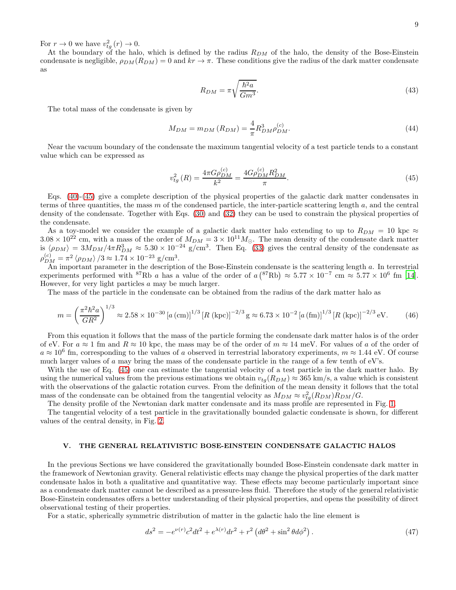For  $r \to 0$  we have  $v_{tg}^2(r) \to 0$ .

At the boundary of the halo, which is defined by the radius  $R_{DM}$  of the halo, the density of the Bose-Einstein condensate is negligible,  $\rho_{DM}(R_{DM}) = 0$  and  $kr \to \pi$ . These conditions give the radius of the dark matter condensate as

<span id="page-8-0"></span>
$$
R_{DM} = \pi \sqrt{\frac{\hbar^2 a}{Gm^3}}.\tag{43}
$$

The total mass of the condensate is given by

$$
M_{DM} = m_{DM} (R_{DM}) = \frac{4}{\pi} R_{DM}^3 \rho_{DM}^{(c)}.
$$
\n(44)

Near the vacuum boundary of the condensate the maximum tangential velocity of a test particle tends to a constant value which can be expressed as

$$
v_{tg}^{2}\left(R\right) = \frac{4\pi G \rho_{DM}^{(c)}}{k^2} = \frac{4G\rho_{DM}^{(c)}R_{DM}^{2}}{\pi}.
$$
\n(45)

Eqs. [\(40\)](#page-7-1)-[\(45\)](#page-8-0) give a complete description of the physical properties of the galactic dark matter condensates in terms of three quantities, the mass  $m$  of the condensed particle, the inter-particle scattering length  $a$ , and the central density of the condensate. Together with Eqs. [\(30\)](#page-6-1) and [\(32\)](#page-6-2) they can be used to constrain the physical properties of the condensate.

As a toy-model we consider the example of a galactic dark matter halo extending to up to  $R_{DM} = 10$  kpc  $\approx$  $3.08 \times 10^{22}$  cm, with a mass of the order of  $M_{DM} = 3 \times 10^{11} M_{\odot}$ . The mean density of the condensate dark matter is  $\langle \rho_{DM} \rangle = 3M_{DM}/4\pi R_{DM}^3 \approx 5.30 \times 10^{-24}$  g/cm<sup>3</sup>. Then Eq. [\(33\)](#page-6-3) gives the central density of the condensate as  $\rho_{DM}^{(c)} = \pi^2 \langle \rho_{DM} \rangle /3 \approx 1.74 \times 10^{-23} \text{ g/cm}^3.$ 

An important parameter in the description of the Bose-Einstein condensate is the scattering length  $a$ . In terrestrial experiments performed with <sup>87</sup>Rb a has a value of the order of  $a^{87}Rb$   $\approx 5.77 \times 10^{-7}$  cm  $\approx 5.77 \times 10^{6}$  fm [\[14\]](#page-18-13). However, for very light particles a may be much larger.

The mass of the particle in the condensate can be obtained from the radius of the dark matter halo as

$$
m = \left(\frac{\pi^2 \hbar^2 a}{GR^2}\right)^{1/3} \approx 2.58 \times 10^{-30} \left[a \text{ (cm)}\right]^{1/3} \left[R \text{ (kpc)}\right]^{-2/3} \text{g} \approx 6.73 \times 10^{-2} \left[a \text{ (fm)}\right]^{1/3} \left[R \text{ (kpc)}\right]^{-2/3} \text{ eV}.
$$
 (46)

From this equation it follows that the mass of the particle forming the condensate dark matter halos is of the order of eV. For  $a \approx 1$  fm and  $R \approx 10$  kpc, the mass may be of the order of  $m \approx 14$  meV. For values of a of the order of  $a \approx 10^6$  fm, corresponding to the values of a observed in terrestrial laboratory experiments,  $m \approx 1.44$  eV. Of course much larger values of a may bring the mass of the condensate particle in the range of a few tenth of eV's.

With the use of Eq. [\(45\)](#page-8-0) one can estimate the tangential velocity of a test particle in the dark matter halo. By using the numerical values from the previous estimations we obtain  $v_{tg}(R_{DM}) \approx 365 \text{ km/s}$ , a value which is consistent with the observations of the galactic rotation curves. From the definition of the mean density it follows that the total mass of the condensate can be obtained from the tangential velocity as  $M_{DM} \approx v_{tg}^2 (R_{DM}) R_{DM}/G$ .

The density profile of the Newtonian dark matter condensate and its mass profile are represented in Fig. [1.](#page-9-0)

The tangential velocity of a test particle in the gravitationally bounded galactic condensate is shown, for different values of the central density, in Fig. [2.](#page-9-1)

# V. THE GENERAL RELATIVISTIC BOSE-EINSTEIN CONDENSATE GALACTIC HALOS

In the previous Sections we have considered the gravitationally bounded Bose-Einstein condensate dark matter in the framework of Newtonian gravity. General relativistic effects may change the physical properties of the dark matter condensate halos in both a qualitative and quantitative way. These effects may become particularly important since as a condensate dark matter cannot be described as a pressure-less fluid. Therefore the study of the general relativistic Bose-Einstein condensates offers a better understanding of their physical properties, and opens the possibility of direct observational testing of their properties.

For a static, spherically symmetric distribution of matter in the galactic halo the line element is

<span id="page-8-1"></span>
$$
ds^{2} = -e^{\nu(r)}c^{2}dt^{2} + e^{\lambda(r)}dr^{2} + r^{2}\left(d\theta^{2} + \sin^{2}\theta d\phi^{2}\right).
$$
 (47)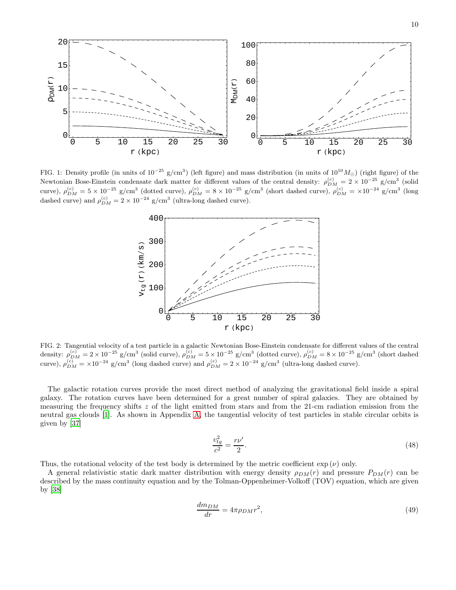

<span id="page-9-0"></span>FIG. 1: Density profile (in units of  $10^{-25}$  g/cm<sup>3</sup>) (left figure) and mass distribution (in units of  $10^{10} M_{\odot}$ ) (right figure) of the Newtonian Bose-Einstein condensate dark matter for different values of the central density:  $\rho_{DM}^{(c)} = 2 \times 10^{-25}$  g/cm<sup>3</sup> (solid curve),  $\rho_{DM}^{(c)} = 5 \times 10^{-25}$  g/cm<sup>3</sup> (dotted curve),  $\rho_{DM}^{(c)} = 8 \times 10^{-25}$  g/cm<sup>3</sup> (short dashed curve),  $\rho_{DM}^{(c)} = \times 10^{-24}$  g/cm<sup>3</sup> (long dashed curve) and  $\rho_{DM}^{(c)} = 2 \times 10^{-24}$  g/cm<sup>3</sup> (ultra-long dashed curve).



<span id="page-9-1"></span>FIG. 2: Tangential velocity of a test particle in a galactic Newtonian Bose-Einstein condensate for different values of the central density:  $\rho_{DM}^{(c)} = 2 \times 10^{-25}$  g/cm<sup>3</sup> (solid curve),  $\rho_{DM}^{(c)} = 5 \times 10^{-25}$  g/cm<sup>3</sup> (dotted curve),  $\rho_{DM}^{(c)} = 8 \times 10^{-25}$  g/cm<sup>3</sup> (short dashed curve),  $\rho_{DM}^{(c)} = \times 10^{-24}$  g/cm<sup>3</sup> (long dashed curve) and  $\rho_{DM}^{(c)} = 2 \times 10^{-24}$  g/cm<sup>3</sup> (ultra-long dashed curve).

The galactic rotation curves provide the most direct method of analyzing the gravitational field inside a spiral galaxy. The rotation curves have been determined for a great number of spiral galaxies. They are obtained by measuring the frequency shifts z of the light emitted from stars and from the 21-cm radiation emission from the neutral gas clouds [\[1](#page-18-0)]. As shown in Appendix [A,](#page-19-4) the tangential velocity of test particles in stable circular orbits is given by [\[37\]](#page-19-5)

<span id="page-9-2"></span>
$$
\frac{v_{tg}^2}{c^2} = \frac{r\nu'}{2}.\tag{48}
$$

Thus, the rotational velocity of the test body is determined by the metric coefficient  $\exp(\nu)$  only.

A general relativistic static dark matter distribution with energy density  $\rho_{DM}(r)$  and pressure  $P_{DM}(r)$  can be described by the mass continuity equation and by the Tolman-Oppenheimer-Volkoff (TOV) equation, which are given by [\[38\]](#page-19-6)

$$
\frac{dm_{DM}}{dr} = 4\pi\rho_{DM}r^2,\tag{49}
$$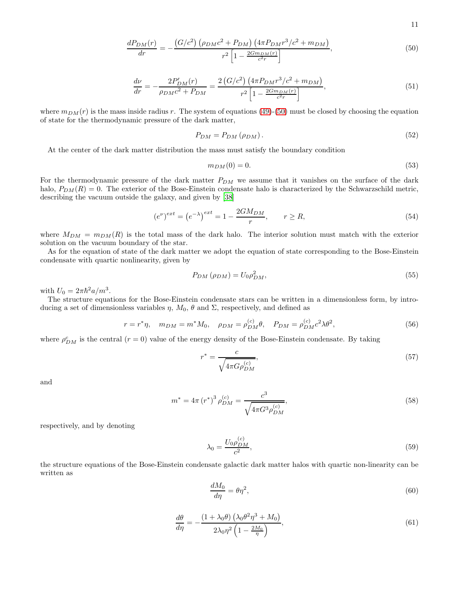<span id="page-10-0"></span>11

$$
\frac{dP_{DM}(r)}{dr} = -\frac{(G/c^2)\left(\rho_{DM}c^2 + P_{DM}\right)\left(4\pi P_{DM}r^3/c^2 + m_{DM}\right)}{r^2\left[1 - \frac{2Gm_{DM}(r)}{c^2r}\right]},\tag{50}
$$

$$
\frac{d\nu}{dr} = -\frac{2P'_{DM}(r)}{\rho_{DM}c^2 + P_{DM}} = \frac{2\left(G/c^2\right)\left(4\pi P_{DM}r^3/c^2 + m_{DM}\right)}{r^2\left[1 - \frac{2Gm_{DM}(r)}{c^2r}\right]},\tag{51}
$$

where  $m_{DM}(r)$  is the mass inside radius r. The system of equations [\(49\)](#page-9-2)-[\(50\)](#page-10-0) must be closed by choosing the equation of state for the thermodynamic pressure of the dark matter,

$$
P_{DM} = P_{DM} \left( \rho_{DM} \right). \tag{52}
$$

At the center of the dark matter distribution the mass must satisfy the boundary condition

$$
m_{DM}(0) = 0.\t\t(53)
$$

For the thermodynamic pressure of the dark matter  $P_{DM}$  we assume that it vanishes on the surface of the dark halo,  $P_{DM}(R) = 0$ . The exterior of the Bose-Einstein condensate halo is characterized by the Schwarzschild metric, describing the vacuum outside the galaxy, and given by [\[38](#page-19-6)]

$$
\left(e^{\nu}\right)^{ext} = \left(e^{-\lambda}\right)^{ext} = 1 - \frac{2GM_{DM}}{r}, \qquad r \ge R,\tag{54}
$$

where  $M_{DM} = m_{DM}(R)$  is the total mass of the dark halo. The interior solution must match with the exterior solution on the vacuum boundary of the star.

As for the equation of state of the dark matter we adopt the equation of state corresponding to the Bose-Einstein condensate with quartic nonlinearity, given by

$$
P_{DM} \left(\rho_{DM}\right) = U_0 \rho_{DM}^2,\tag{55}
$$

with  $U_0 = 2\pi\hbar^2 a/m^3$ .

The structure equations for the Bose-Einstein condensate stars can be written in a dimensionless form, by introducing a set of dimensionless variables  $\eta$ ,  $M_0$ ,  $\theta$  and  $\Sigma$ , respectively, and defined as

$$
r = r^* \eta, \quad m_{DM} = m^* M_0, \quad \rho_{DM} = \rho_{DM}^{(c)} \theta, \quad P_{DM} = \rho_{DM}^{(c)} c^2 \lambda \theta^2,
$$
\n(56)

where  $\rho_{DM}^c$  is the central  $(r = 0)$  value of the energy density of the Bose-Einstein condensate. By taking

<span id="page-10-2"></span>
$$
r^* = \frac{c}{\sqrt{4\pi G \rho_{DM}^{(c)}}},\tag{57}
$$

and

$$
m^* = 4\pi (r^*)^3 \rho_{DM}^{(c)} = \frac{c^3}{\sqrt{4\pi G^3 \rho_{DM}^{(c)}}},\tag{58}
$$

respectively, and by denoting

$$
\lambda_0 = \frac{U_0 \rho_{DM}^{(c)}}{c^2},\tag{59}
$$

the structure equations of the Bose-Einstein condensate galactic dark matter halos with quartic non-linearity can be written as

<span id="page-10-1"></span>
$$
\frac{dM_0}{d\eta} = \theta \eta^2,\tag{60}
$$

$$
\frac{d\theta}{d\eta} = -\frac{(1+\lambda_0\theta)\left(\lambda_0\theta^2\eta^3 + M_0\right)}{2\lambda_0\eta^2\left(1 - \frac{2M_0}{\eta}\right)},\tag{61}
$$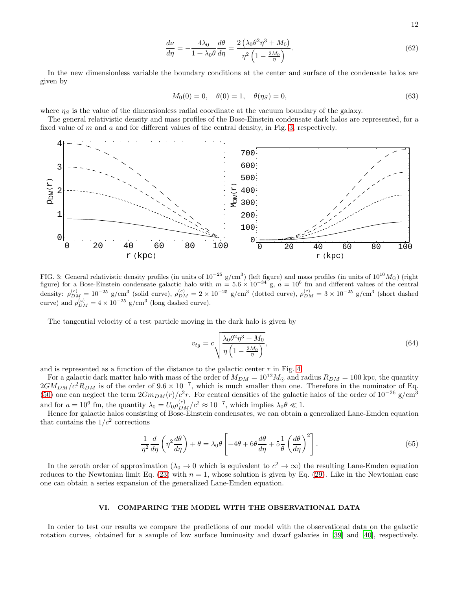<span id="page-11-1"></span>12

$$
\frac{d\nu}{d\eta} = -\frac{4\lambda_0}{1 + \lambda_0 \theta} \frac{d\theta}{d\eta} = \frac{2\left(\lambda_0 \theta^2 \eta^3 + M_0\right)}{\eta^2 \left(1 - \frac{2M_0}{\eta}\right)}.
$$
\n(62)

In the new dimensionless variable the boundary conditions at the center and surface of the condensate halos are given by

$$
M_0(0) = 0, \quad \theta(0) = 1, \quad \theta(\eta_S) = 0,
$$
\n(63)

where  $\eta_s$  is the value of the dimensionless radial coordinate at the vacuum boundary of the galaxy.

The general relativistic density and mass profiles of the Bose-Einstein condensate dark halos are represented, for a fixed value of m and a and for different values of the central density, in Fig. [3,](#page-11-0) respectively.



<span id="page-11-0"></span>FIG. 3: General relativistic density profiles (in units of  $10^{-25}$  g/cm<sup>3</sup>) (left figure) and mass profiles (in units of  $10^{10} M_{\odot}$ ) (right figure) for a Bose-Einstein condensate galactic halo with  $m = 5.6 \times 10^{-34}$  g,  $a = 10^6$  fm and different values of the central density:  $\rho_{DM}^{(c)} = 10^{-25}$  g/cm<sup>3</sup> (solid curve),  $\rho_{DM}^{(c)} = 2 \times 10^{-25}$  g/cm<sup>3</sup> (dotted curve),  $\rho_{DM}^{(c)} = 3 \times 10^{-25}$  g/cm<sup>3</sup> (short dashed curve) and  $\rho_{DM}^{(c)} = 4 \times 10^{-25}$  g/cm<sup>3</sup> (long dashed curve).

The tangential velocity of a test particle moving in the dark halo is given by

$$
v_{tg} = c \sqrt{\frac{\lambda_0 \theta^2 \eta^3 + M_0}{\eta \left(1 - \frac{2M_0}{\eta}\right)}},\tag{64}
$$

and is represented as a function of the distance to the galactic center  $r$  in Fig. [4.](#page-12-0)

For a galactic dark matter halo with mass of the order of  $M_{DM} = 10^{12} M_{\odot}$  and radius  $R_{DM} = 100$  kpc, the quantity  $2GM_{DM}/c^2R_{DM}$  is of the order of  $9.6 \times 10^{-7}$ , which is much smaller than one. Therefore in the nominator of Eq. [\(50\)](#page-10-0) one can neglect the term  $2Gm_{DM}(r)/c^2r$ . For central densities of the galactic halos of the order of  $10^{-26}$  g/cm<sup>3</sup> and for  $a = 10^6$  fm, the quantity  $\lambda_0 = U_0 \rho_{DM}^{(c)}/c^2 \approx 10^{-7}$ , which implies  $\lambda_0 \theta \ll 1$ .

Hence for galactic halos consisting of Bose-Einstein condensates, we can obtain a generalized Lane-Emden equation that contains the  $1/c^2$  corrections

$$
\frac{1}{\eta^2} \frac{d}{d\eta} \left( \eta^2 \frac{d\theta}{d\eta} \right) + \theta = \lambda_0 \theta \left[ -4\theta + 6\theta \frac{d\theta}{d\eta} + 5\frac{1}{\theta} \left( \frac{d\theta}{d\eta} \right)^2 \right].
$$
\n(65)

In the zeroth order of approximation  $(\lambda_0 \to 0$  which is equivalent to  $c^2 \to \infty$ ) the resulting Lane-Emden equation reduces to the Newtonian limit Eq.  $(23)$  with  $n = 1$ , whose solution is given by Eq.  $(29)$ . Like in the Newtonian case one can obtain a series expansion of the generalized Lane-Emden equation.

## VI. COMPARING THE MODEL WITH THE OBSERVATIONAL DATA

In order to test our results we compare the predictions of our model with the observational data on the galactic rotation curves, obtained for a sample of low surface luminosity and dwarf galaxies in [\[39\]](#page-19-7) and [\[40\]](#page-19-8), respectively.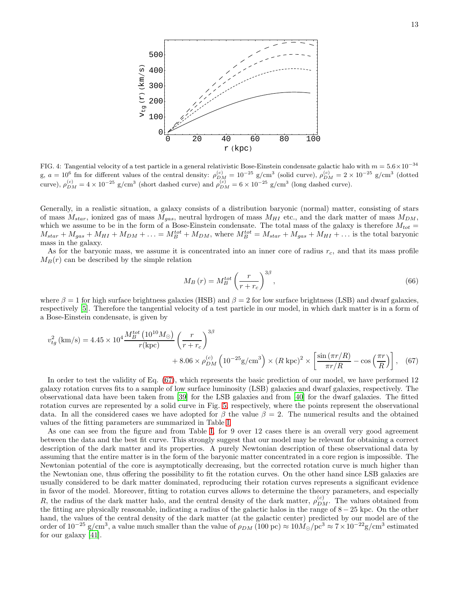

<span id="page-12-0"></span>FIG. 4: Tangential velocity of a test particle in a general relativistic Bose-Einstein condensate galactic halo with  $m = 5.6 \times 10^{-34}$ g,  $a = 10^6$  fm for different values of the central density:  $\rho_{DM}^{(c)} = 10^{-25}$  g/cm<sup>3</sup> (solid curve),  $\rho_{DM}^{(c)} = 2 \times 10^{-25}$  g/cm<sup>3</sup> (dotted curve),  $\rho_{DM}^{(c)} = 4 \times 10^{-25}$  g/cm<sup>3</sup> (short dashed curve) and  $\rho_{DM}^{(c)} = 6 \times 10^{-25}$  g/cm<sup>3</sup> (long dashed curve).

Generally, in a realistic situation, a galaxy consists of a distribution baryonic (normal) matter, consisting of stars of mass  $M_{star}$ , ionized gas of mass  $M_{gas}$ , neutral hydrogen of mass  $M_{HI}$  etc., and the dark matter of mass  $M_{DM}$ , which we assume to be in the form of a Bose-Einstein condensate. The total mass of the galaxy is therefore  $M_{tot} =$  $M_{star} + M_{gas} + M_{HI} + M_{DM} + \ldots = M_B^{tot} + M_{DM}$ , where  $M_B^{tot} = M_{star} + M_{gas} + M_{HI} + \ldots$  is the total baryonic mass in the galaxy.

As for the baryonic mass, we assume it is concentrated into an inner core of radius  $r_c$ , and that its mass profile  $M_B(r)$  can be described by the simple relation

<span id="page-12-1"></span>
$$
M_B(r) = M_B^{tot} \left(\frac{r}{r + r_c}\right)^{3\beta},\tag{66}
$$

where  $\beta = 1$  for high surface brightness galaxies (HSB) and  $\beta = 2$  for low surface brightness (LSB) and dwarf galaxies, respectively [\[5\]](#page-18-4). Therefore the tangential velocity of a test particle in our model, in which dark matter is in a form of a Bose-Einstein condensate, is given by

$$
v_{tg}^{2} \left( \text{km/s} \right) = 4.45 \times 10^{4} \frac{M_{B}^{tot} \left( 10^{10} M_{\odot} \right)}{r \left( \text{kpc} \right)} \left( \frac{r}{r + r_{c}} \right)^{3\beta} + 8.06 \times \rho_{DM}^{(c)} \left( 10^{-25} \text{g/cm}^{3} \right) \times \left( R \text{ kpc} \right)^{2} \times \left[ \frac{\sin \left( \pi r / R \right)}{\pi r / R} - \cos \left( \frac{\pi r}{R} \right) \right], \quad (67)
$$

In order to test the validity of Eq. [\(67\)](#page-12-1), which represents the basic prediction of our model, we have performed 12 galaxy rotation curves fits to a sample of low surface luminosity (LSB) galaxies and dwarf galaxies, respectively. The observational data have been taken from [\[39](#page-19-7)] for the LSB galaxies and from [\[40](#page-19-8)] for the dwarf galaxies. The fitted rotation curves are represented by a solid curve in Fig. [5,](#page-15-0) respectively, where the points represent the observational data. In all the considered cases we have adopted for  $\beta$  the value  $\beta = 2$ . The numerical results and the obtained values of the fitting parameters are summarized in Table [I.](#page-13-0)

As one can see from the figure and from Table [I,](#page-13-0) for 9 over 12 cases there is an overall very good agreement between the data and the best fit curve. This strongly suggest that our model may be relevant for obtaining a correct description of the dark matter and its properties. A purely Newtonian description of these observational data by assuming that the entire matter is in the form of the baryonic matter concentrated in a core region is impossible. The Newtonian potential of the core is asymptotically decreasing, but the corrected rotation curve is much higher than the Newtonian one, thus offering the possibility to fit the rotation curves. On the other hand since LSB galaxies are usually considered to be dark matter dominated, reproducing their rotation curves represents a significant evidence in favor of the model. Moreover, fitting to rotation curves allows to determine the theory parameters, and especially R, the radius of the dark matter halo, and the central density of the dark matter,  $\rho_{DM}^{(c)}$ . The values obtained from the fitting are physically reasonable, indicating a radius of the galactic halos in the range of 8 − 25 kpc. On the other hand, the values of the central density of the dark matter (at the galactic center) predicted by our model are of the order of  $10^{-25}$  g/cm<sup>3</sup>, a value much smaller than the value of  $\rho_{DM}$  (100 pc)  $\approx 10 M_{\odot}/\text{pc}^3 \approx 7 \times 10^{-22} \text{g/cm}^3$  estimated for our galaxy [\[41](#page-19-9)].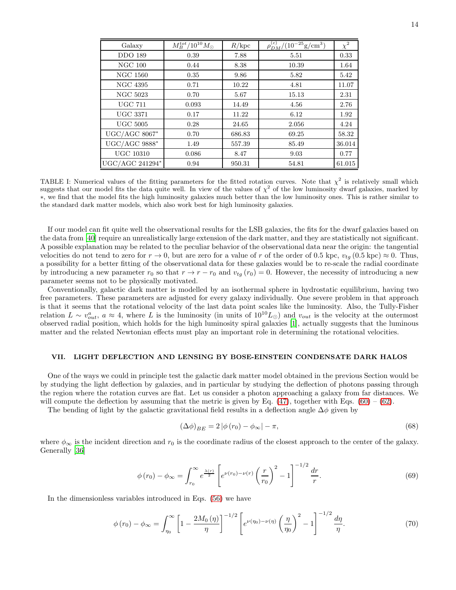| Galaxy            | $M_B^{tot}/10^{10} M_{\odot}$ | $R/\text{kpc}$ | $\rho_{DM}^{(c)}/(10^{-25} \text{g/cm}^3)$ | $\chi^2$ |
|-------------------|-------------------------------|----------------|--------------------------------------------|----------|
| <b>DDO 189</b>    | 0.39                          | 7.88           | 5.51                                       | 0.33     |
| $NGC$ 100         | 0.44                          | 8.38           | 10.39                                      | 1.64     |
| <b>NGC 1560</b>   | 0.35                          | 9.86           | 5.82                                       | 5.42     |
| <b>NGC 4395</b>   | 0.71                          | 10.22          | 4.81                                       | 11.07    |
| <b>NGC 5023</b>   | 0.70                          | 5.67           | 15.13                                      | 2.31     |
| <b>UGC 711</b>    | 0.093                         | 14.49          | 4.56                                       | 2.76     |
| <b>UGC 3371</b>   | 0.17                          | 11.22          | 6.12                                       | 1.92     |
| <b>UGC 5005</b>   | 0.28                          | 24.65          | 2.056                                      | 4.24     |
| $UGC/AGC 8067*$   | 0.70                          | 686.83         | 69.25                                      | 58.32    |
| $UGC/AGC$ 9888*   | 1.49                          | 557.39         | 85.49                                      | 36.014   |
| <b>UGC 10310</b>  | 0.086                         | 8.47           | 9.03                                       | 0.77     |
| $UGC/AGC 241294*$ | 0.94                          | 950.31         | 54.81                                      | 61.015   |

<span id="page-13-0"></span>TABLE I: Numerical values of the fitting parameters for the fitted rotation curves. Note that  $\chi^2$  is relatively small which suggests that our model fits the data quite well. In view of the values of  $\chi^2$  of the low luminosity dwarf galaxies, marked by ∗, we find that the model fits the high luminosity galaxies much better than the low luminosity ones. This is rather similar to the standard dark matter models, which also work best for high luminosity galaxies.

If our model can fit quite well the observational results for the LSB galaxies, the fits for the dwarf galaxies based on the data from [\[40](#page-19-8)] require an unrealistically large extension of the dark matter, and they are statistically not significant. A possible explanation may be related to the peculiar behavior of the observational data near the origin: the tangential velocities do not tend to zero for  $r \to 0$ , but are zero for a value of r of the order of 0.5 kpc,  $v_{tq}$  (0.5 kpc)  $\approx$  0. Thus, a possibility for a better fitting of the observational data for these galaxies would be to re-scale the radial coordinate by introducing a new parameter  $r_0$  so that  $r \to r - r_0$  and  $v_{tg}(r_0) = 0$ . However, the necessity of introducing a new parameter seems not to be physically motivated.

Conventionally, galactic dark matter is modelled by an isothermal sphere in hydrostatic equilibrium, having two free parameters. These parameters are adjusted for every galaxy individually. One severe problem in that approach is that it seems that the rotational velocity of the last data point scales like the luminosity. Also, the Tully-Fisher relation  $L \sim v_{out}^a$ ,  $a \approx 4$ , where L is the luminosity (in units of  $10^{10}L_{\odot}$ ) and  $v_{out}$  is the velocity at the outermost observed radial position, which holds for the high luminosity spiral galaxies [\[1](#page-18-0)], actually suggests that the luminous matter and the related Newtonian effects must play an important role in determining the rotational velocities.

#### VII. LIGHT DEFLECTION AND LENSING BY BOSE-EINSTEIN CONDENSATE DARK HALOS

One of the ways we could in principle test the galactic dark matter model obtained in the previous Section would be by studying the light deflection by galaxies, and in particular by studying the deflection of photons passing through the region where the rotation curves are flat. Let us consider a photon approaching a galaxy from far distances. We will compute the deflection by assuming that the metric is given by Eq.  $(47)$ , together with Eqs.  $(60) - (62)$  $(60) - (62)$ .

The bending of light by the galactic gravitational field results in a deflection angle  $\Delta\phi$  given by

$$
\left(\Delta\phi\right)_{BE} = 2\left|\phi\left(r_0\right) - \phi_\infty\right| - \pi,\tag{68}
$$

where  $\phi_{\infty}$  is the incident direction and  $r_0$  is the coordinate radius of the closest approach to the center of the galaxy. Generally [\[36\]](#page-19-3)

$$
\phi(r_0) - \phi_{\infty} = \int_{r_0}^{\infty} e^{\frac{\lambda(r)}{2}} \left[ e^{\nu(r_0) - \nu(r)} \left( \frac{r}{r_0} \right)^2 - 1 \right]^{-1/2} \frac{dr}{r}.
$$
\n(69)

In the dimensionless variables introduced in Eqs. [\(56\)](#page-10-2) we have

$$
\phi(r_0) - \phi_{\infty} = \int_{\eta_0}^{\infty} \left[ 1 - \frac{2M_0(\eta)}{\eta} \right]^{-1/2} \left[ e^{\nu(\eta_0) - \nu(\eta)} \left( \frac{\eta}{\eta_0} \right)^2 - 1 \right]^{-1/2} \frac{d\eta}{\eta}.
$$
 (70)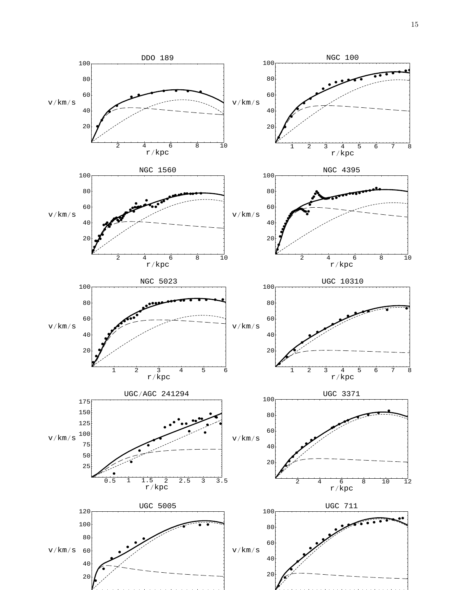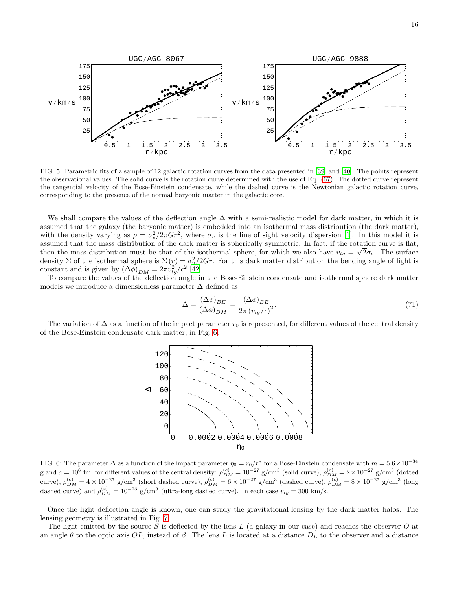

<span id="page-15-0"></span>FIG. 5: Parametric fits of a sample of 12 galactic rotation curves from the data presented in [\[39\]](#page-19-7) and [\[40](#page-19-8)]. The points represent the observational values. The solid curve is the rotation curve determined with the use of Eq. [\(67\)](#page-12-1). The dotted curve represent the tangential velocity of the Bose-Einstein condensate, while the dashed curve is the Newtonian galactic rotation curve, corresponding to the presence of the normal baryonic matter in the galactic core.

We shall compare the values of the deflection angle  $\Delta$  with a semi-realistic model for dark matter, in which it is assumed that the galaxy (the baryonic matter) is embedded into an isothermal mass distribution (the dark matter), with the density varying as  $\rho = \sigma_v^2/2\pi G r^2$ , where  $\sigma_v$  is the line of sight velocity dispersion [\[1](#page-18-0)]. In this model it is assumed that the mass distribution of the dark matter is spherically symmetric. In fact, if the rotation curve is flat, then the mass distribution must be that of the isothermal sphere, for which we also have  $v_{tg} = \sqrt{2}\sigma_v$ . The surface density  $\Sigma$  of the isothermal sphere is  $\Sigma(r) = \sigma_v^2/2Gr$ . For this dark matter distribution the bending angle of light is constant and is given by  $(\Delta \phi)_{DM} = 2\pi v_{tg}^2/c^2$  [\[42\]](#page-19-10).

To compare the values of the deflection angle in the Bose-Einstein condensate and isothermal sphere dark matter models we introduce a dimensionless parameter  $\Delta$  defined as

<span id="page-15-2"></span>
$$
\Delta = \frac{(\Delta \phi)_{BE}}{(\Delta \phi)_{DM}} = \frac{(\Delta \phi)_{BE}}{2\pi (v_{tg}/c)^2}.
$$
\n(71)

The variation of  $\Delta$  as a function of the impact parameter  $r_0$  is represented, for different values of the central density of the Bose-Einstein condensate dark matter, in Fig. [6.](#page-15-1)



<span id="page-15-1"></span>FIG. 6: The parameter  $\Delta$  as a function of the impact parameter  $\eta_0 = r_0/r^*$  for a Bose-Einstein condensate with  $m = 5.6 \times 10^{-34}$ g and  $a = 10^6$  fm, for different values of the central density:  $\rho_{DM}^{(c)} = 10^{-27}$  g/cm<sup>3</sup> (solid curve),  $\rho_{DM}^{(c)} = 2 \times 10^{-27}$  g/cm<sup>3</sup> (dotted curve),  $\rho_{DM}^{(c)} = 4 \times 10^{-27}$  g/cm<sup>3</sup> (short dashed curve),  $\rho_{DM}^{(c)} = 6 \times 10^{-27}$  g/cm<sup>3</sup> (dashed curve),  $\rho_{DM}^{(c)} = 8 \times 10^{-27}$  g/cm<sup>3</sup> (long dashed curve) and  $\rho_{DM}^{(c)} = 10^{-26}$  g/cm<sup>3</sup> (ultra-long dashed curve). In each case  $v_{tg} = 300$  km/s.

Once the light deflection angle is known, one can study the gravitational lensing by the dark matter halos. The lensing geometry is illustrated in Fig. [7.](#page-16-0)

The light emitted by the source S is deflected by the lens L (a galaxy in our case) and reaches the observer O at an angle  $\theta$  to the optic axis  $OL$ , instead of  $\beta$ . The lens L is located at a distance  $D<sub>L</sub>$  to the observer and a distance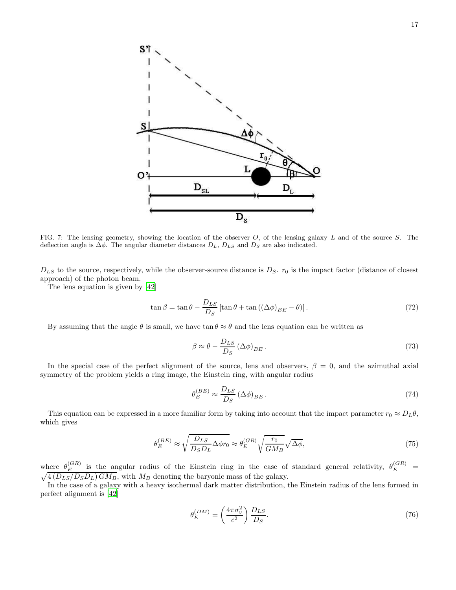

<span id="page-16-0"></span>FIG. 7: The lensing geometry, showing the location of the observer O, of the lensing galaxy L and of the source S. The deflection angle is  $\Delta \phi$ . The angular diameter distances  $D_L$ ,  $D_{LS}$  and  $D_S$  are also indicated.

 $D_{LS}$  to the source, respectively, while the observer-source distance is  $D_S$ .  $r_0$  is the impact factor (distance of closest approach) of the photon beam.

The lens equation is given by [\[42\]](#page-19-10)

$$
\tan \beta = \tan \theta - \frac{D_{LS}}{D_S} \left[ \tan \theta + \tan \left( (\Delta \phi)_{BE} - \theta \right) \right]. \tag{72}
$$

By assuming that the angle  $\theta$  is small, we have  $\tan \theta \approx \theta$  and the lens equation can be written as

$$
\beta \approx \theta - \frac{D_{LS}}{D_S} \left(\Delta \phi\right)_{BE}.
$$
\n(73)

In the special case of the perfect alignment of the source, lens and observers,  $\beta = 0$ , and the azimuthal axial symmetry of the problem yields a ring image, the Einstein ring, with angular radius

$$
\theta_E^{(BE)} \approx \frac{D_{LS}}{D_S} \left(\Delta \phi\right)_{BE}.\tag{74}
$$

This equation can be expressed in a more familiar form by taking into account that the impact parameter  $r_0 \approx D_L \theta$ , which gives

$$
\theta_E^{(BE)} \approx \sqrt{\frac{D_{LS}}{D_S D_L} \Delta \phi r_0} \approx \theta_E^{(GR)} \sqrt{\frac{r_0}{GM_B}} \sqrt{\Delta \phi},\tag{75}
$$

where  $\theta_E^{(GR)}$  $E_E^{(GR)}$  is the angular radius of the Einstein ring in the case of standard general relativity,  $\theta_E^{(GR)}$  $\sqrt{ }$  $E^{(GR)}=$  $4(D_{LS}/D_{S}D_{L})GM_{B}$ , with  $M_{B}$  denoting the baryonic mass of the galaxy.

In the case of a galaxy with a heavy isothermal dark matter distribution, the Einstein radius of the lens formed in perfect alignment is [\[42](#page-19-10)]

$$
\theta_E^{(DM)} = \left(\frac{4\pi\sigma_v^2}{c^2}\right) \frac{D_{LS}}{D_S}.\tag{76}
$$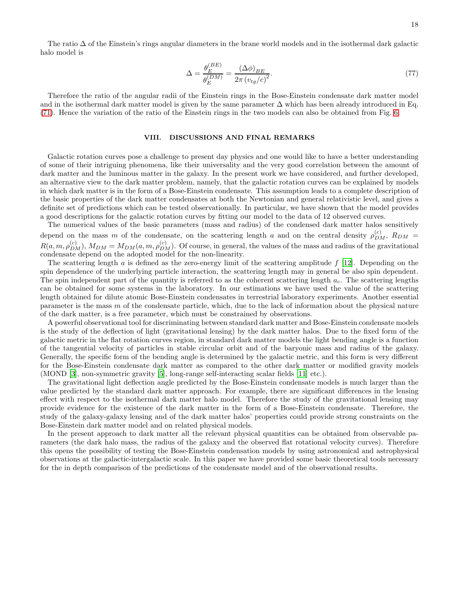$$
\Delta = \frac{\theta_E^{(BE)}}{\theta_E^{(DM)}} = \frac{(\Delta \phi)_{BE}}{2\pi (v_{tg}/c)^2}.
$$
\n(77)

Therefore the ratio of the angular radii of the Einstein rings in the Bose-Einstein condensate dark matter model and in the isothermal dark matter model is given by the same parameter  $\Delta$  which has been already introduced in Eq. [\(71\)](#page-15-2). Hence the variation of the ratio of the Einstein rings in the two models can also be obtained from Fig. [6.](#page-15-1)

#### VIII. DISCUSSIONS AND FINAL REMARKS

Galactic rotation curves pose a challenge to present day physics and one would like to have a better understanding of some of their intriguing phenomena, like their universality and the very good correlation between the amount of dark matter and the luminous matter in the galaxy. In the present work we have considered, and further developed, an alternative view to the dark matter problem, namely, that the galactic rotation curves can be explained by models in which dark matter is in the form of a Bose-Einstein condensate. This assumption leads to a complete description of the basic properties of the dark matter condensates at both the Newtonian and general relativistic level, and gives a definite set of predictions which can be tested observationally. In particular, we have shown that the model provides a good descriptions for the galactic rotation curves by fitting our model to the data of 12 observed curves.

The numerical values of the basic parameters (mass and radius) of the condensed dark matter halos sensitively depend on the mass m of the condensate, on the scattering length a and on the central density  $\rho_{DM}^{(c)}$ ,  $R_{DM}$  =  $R(a, m, \rho_{DM}^{(c)})$ ,  $M_{DM} = M_{DM}(a, m, \rho_{DM}^{(c)})$ . Of course, in general, the values of the mass and radius of the gravitational condensate depend on the adopted model for the non-linearity.

The scattering length a is defined as the zero-energy limit of the scattering amplitude  $f(12)$ . Depending on the spin dependence of the underlying particle interaction, the scattering length may in general be also spin dependent. The spin independent part of the quantity is referred to as the coherent scattering length  $a_c$ . The scattering lengths can be obtained for some systems in the laboratory. In our estimations we have used the value of the scattering length obtained for dilute atomic Bose-Einstein condensates in terrestrial laboratory experiments. Another essential parameter is the mass m of the condensate particle, which, due to the lack of information about the physical nature of the dark matter, is a free parameter, which must be constrained by observations.

A powerful observational tool for discriminating between standard dark matter and Bose-Einstein condensate models is the study of the deflection of light (gravitational lensing) by the dark matter halos. Due to the fixed form of the galactic metric in the flat rotation curves region, in standard dark matter models the light bending angle is a function of the tangential velocity of particles in stable circular orbit and of the baryonic mass and radius of the galaxy. Generally, the specific form of the bending angle is determined by the galactic metric, and this form is very different for the Bose-Einstein condensate dark matter as compared to the other dark matter or modified gravity models (MOND [\[3\]](#page-18-2), non-symmetric gravity [\[5](#page-18-4)], long-range self-interacting scalar fields [\[11\]](#page-18-10) etc.).

The gravitational light deflection angle predicted by the Bose-Einstein condensate models is much larger than the value predicted by the standard dark matter approach. For example, there are significant differences in the lensing effect with respect to the isothermal dark matter halo model. Therefore the study of the gravitational lensing may provide evidence for the existence of the dark matter in the form of a Bose-Einstein condensate. Therefore, the study of the galaxy-galaxy lensing and of the dark matter halos' properties could provide strong constraints on the Bose-Einstein dark matter model and on related physical models.

In the present approach to dark matter all the relevant physical quantities can be obtained from observable parameters (the dark halo mass, the radius of the galaxy and the observed flat rotational velocity curves). Therefore this opens the possibility of testing the Bose-Einstein condensation models by using astronomical and astrophysical observations at the galactic-intergalactic scale. In this paper we have provided some basic theoretical tools necessary for the in depth comparison of the predictions of the condensate model and of the observational results.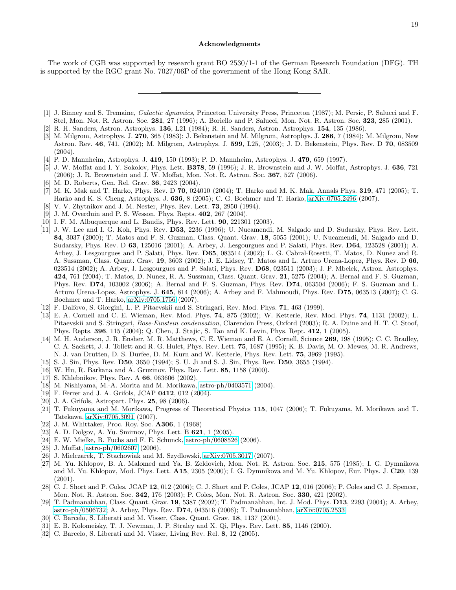#### Acknowledgments

The work of CGB was supported by research grant BO 2530/1-1 of the German Research Foundation (DFG). TH is supported by the RGC grant No. 7027/06P of the government of the Hong Kong SAR.

- <span id="page-18-0"></span>[1] J. Binney and S. Tremaine, Galactic dynamics, Princeton University Press, Princeton (1987); M. Persic, P. Salucci and F. Stel, Mon. Not. R. Astron. Soc. 281, 27 (1996); A. Boriello and P. Salucci, Mon. Not. R. Astron. Soc. 323, 285 (2001).
- <span id="page-18-1"></span>[2] R. H. Sanders, Astron. Astrophys. 136, L21 (1984); R. H. Sanders, Astron. Astrophys. 154, 135 (1986).
- <span id="page-18-2"></span>[3] M. Milgrom, Astrophys. J. 270, 365 (1983); J. Bekenstein and M. Milgrom, Astrophys. J. 286, 7 (1984); M. Milgrom, New Astron. Rev. 46, 741, (2002); M. Milgrom, Astrophys. J. 599, L25, (2003); J. D. Bekenstein, Phys. Rev. D 70, 083509 (2004).
- <span id="page-18-3"></span>[4] P. D. Mannheim, Astrophys. J. 419, 150 (1993); P. D. Mannheim, Astrophys. J. 479, 659 (1997).
- <span id="page-18-4"></span>[5] J. W. Moffat and I. Y. Sokolov, Phys. Lett. B378, 59 (1996); J. R. Brownstein and J. W. Moffat, Astrophys. J. 636, 721 (2006); J. R. Brownstein and J. W. Moffat, Mon. Not. R. Astron. Soc. 367, 527 (2006).
- <span id="page-18-5"></span>[6] M. D. Roberts, Gen. Rel. Grav. 36, 2423 (2004).
- <span id="page-18-6"></span>[7] M. K. Mak and T. Harko, Phys. Rev. D 70, 024010 (2004); T. Harko and M. K. Mak, Annals Phys. 319, 471 (2005); T. Harko and K. S. Cheng, Astrophys. J. 636, 8 (2005); C. G. Boehmer and T. Harko, [arXiv:0705.2496](http://arxiv.org/abs/0705.2496) (2007).
- <span id="page-18-7"></span>[8] V. V. Zhytnikov and J. M. Nester, Phys. Rev. Lett. 73, 2950 (1994).
- <span id="page-18-8"></span>[9] J. M. Overduin and P. S. Wesson, Phys. Repts. 402, 267 (2004).
- <span id="page-18-9"></span>[10] I. F. M. Albuquerque and L. Baudis, Phys. Rev. Lett. **90**, 221301 (2003).
- <span id="page-18-10"></span>[11] J. W. Lee and I. G. Koh, Phys. Rev. D53, 2236 (1996); U. Nucamendi, M. Salgado and D. Sudarsky, Phys. Rev. Lett. 84, 3037 (2000); T. Matos and F. S. Guzman, Class. Quant. Grav. 18, 5055 (2001); U. Nucamendi, M. Salgado and D. Sudarsky, Phys. Rev. D 63, 125016 (2001); A. Arbey, J. Lesgourgues and P. Salati, Phys. Rev. D64, 123528 (2001); A. Arbey, J. Lesgourgues and P. Salati, Phys. Rev. D65, 083514 (2002); L. G. Cabral-Rosetti, T. Matos, D. Nunez and R. A. Sussman, Class. Quant. Grav. 19, 3603 (2002); J. E. Lidsey, T. Matos and L. Arturo Urena-Lopez, Phys. Rev. D 66, 023514 (2002); A. Arbey, J. Lesgourgues and P. Salati, Phys. Rev. D68, 023511 (2003); J. P. Mbelek, Astron. Astrophys. 424, 761 (2004); T. Matos, D. Nunez, R. A. Sussman, Class. Quant. Grav. 21, 5275 (2004); A. Bernal and F. S. Guzman, Phys. Rev. D74, 103002 (2006); A. Bernal and F. S. Guzman, Phys. Rev. D74, 063504 (2006); F. S. Guzman and L. Arturo Urena-Lopez, Astrophys. J. 645, 814 (2006); A. Arbey and F. Mahmoudi, Phys. Rev. D75, 063513 (2007); C. G. Boehmer and T. Harko, [arXiv:0705.1756](http://arxiv.org/abs/0705.1756) (2007).
- <span id="page-18-11"></span>[12] F. Dalfovo, S. Giorgini, L. P. Pitaevskii and S. Stringari, Rev. Mod. Phys. 71, 463 (1999).
- <span id="page-18-12"></span>[13] E. A. Cornell and C. E. Wieman, Rev. Mod. Phys. 74, 875 (2002); W. Ketterle, Rev. Mod. Phys. 74, 1131 (2002); L. Pitaevskii and S. Stringari, Bose-Einstein condensation, Clarendon Press, Oxford (2003); R. A. Duine and H. T. C. Stoof, Phys. Repts. 396, 115 (2004); Q. Chen, J. Stajic, S. Tan and K. Levin, Phys. Rept. 412, 1 (2005).
- <span id="page-18-13"></span>[14] M. H. Anderson, J. R. Ensher, M. R. Matthews, C. E. Wieman and E. A. Cornell, Science 269, 198 (1995); C. C. Bradley, C. A. Sackett, J. J. Tollett and R. G. Hulet, Phys. Rev. Lett. 75, 1687 (1995); K. B. Davis, M. O. Mewes, M. R. Andrews, N. J. van Drutten, D. S. Durfee, D. M. Kurn and W. Ketterle, Phys. Rev. Lett. 75, 3969 (1995).
- <span id="page-18-14"></span>[15] S. J. Sin, Phys. Rev. D50, 3650 (1994); S. U. Ji and S. J. Sin, Phys. Rev. D50, 3655 (1994).
- <span id="page-18-15"></span>[16] W. Hu, R. Barkana and A. Gruzinov, Phys. Rev. Lett. 85, 1158 (2000).
- <span id="page-18-16"></span>[17] S. Khlebnikov, Phys. Rev. A **66**, 063606 (2002).
- <span id="page-18-17"></span>[18] M. Nishiyama, M.-A. Morita and M. Morikawa, [astro-ph/0403571](http://arxiv.org/abs/astro-ph/0403571) (2004).
- <span id="page-18-18"></span>[19] F. Ferrer and J. A. Grifols, JCAP 0412, 012 (2004).
- <span id="page-18-19"></span>[20] J. A. Grifols, Astropart. Phys. **25**, 98 (2006).
- <span id="page-18-20"></span>[21] T. Fukuyama and M. Morikawa, Progress of Theoretical Physics 115, 1047 (2006); T. Fukuyama, M. Morikawa and T. Tatekawa, [arXiv:0705.3091](http://arxiv.org/abs/0705.3091) (2007).
- <span id="page-18-21"></span>[22] J. M. Whittaker, Proc. Roy. Soc. A306, 1 (1968)
- <span id="page-18-22"></span>[23] A. D. Dolgov, A. Yu. Smirnov, Phys. Lett. B **621**, 1 (2005).
- <span id="page-18-23"></span>[24] E. W. Mielke, B. Fuchs and F. E. Schunck, [astro-ph/0608526](http://arxiv.org/abs/astro-ph/0608526) (2006).
- <span id="page-18-24"></span>[25] J. Moffat, [astro-ph/0602607](http://arxiv.org/abs/astro-ph/0602607) (2006).
- <span id="page-18-25"></span>[26] J. Mielczarek, T. Stachowiak and M. Szydlowski, [arXiv:0705.3017](http://arxiv.org/abs/0705.3017) (2007).
- <span id="page-18-26"></span>[27] M. Yu. Khlopov, B. A. Malomed and Ya. B. Zeldovich, Mon. Not. R. Astron. Soc. 215, 575 (1985); I. G. Dymnikova and M. Yu. Khlopov, Mod. Phys. Lett. A15, 2305 (2000); I. G. Dymnikova and M. Yu. Khlopov, Eur. Phys. J. C20, 139 (2001).
- <span id="page-18-27"></span>[28] C. J. Short and P. Coles, JCAP 12, 012 (2006); C. J. Short and P. Coles, JCAP 12, 016 (2006); P. Coles and C. J. Spencer, Mon. Not. R. Astron. Soc. 342, 176 (2003); P. Coles, Mon. Not. R. Astron. Soc. 330, 421 (2002).
- <span id="page-18-28"></span>[29] T. Padmanabhan, Class. Quant. Grav. 19, 5387 (2002); T. Padmanabhan, Int. J. Mod. Phys. D13, 2293 (2004); A. Arbey, [astro-ph/0506732;](http://arxiv.org/abs/astro-ph/0506732) A. Arbey, Phys. Rev. D74, 043516 (2006); T. Padmanabhan, [arXiv:0705.2533.](http://arxiv.org/abs/0705.2533)
- <span id="page-18-29"></span>[30] C. Barcelo, S. Liberati and M. Visser, Class. Quant. Grav. 18, 1137 (2001).
- <span id="page-18-30"></span>[31] E. B. Kolomeisky, T. J. Newman, J. P. Straley and X. Qi, Phys. Rev. Lett. 85, 1146 (2000).
- <span id="page-18-31"></span>[32] C. Barcelo, S. Liberati and M. Visser, Living Rev. Rel. 8, 12 (2005).